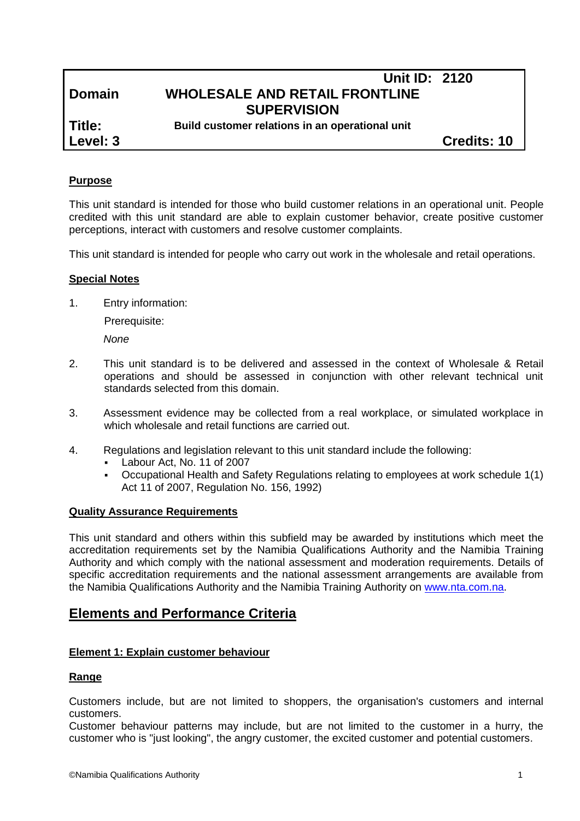# **Unit ID: 2120 Domain WHOLESALE AND RETAIL FRONTLINE SUPERVISION**

**Title: Build customer relations in an operational unit**

**Level: 3 Credits: 10**

## **Purpose**

This unit standard is intended for those who build customer relations in an operational unit. People credited with this unit standard are able to explain customer behavior, create positive customer perceptions, interact with customers and resolve customer complaints.

This unit standard is intended for people who carry out work in the wholesale and retail operations.

#### **Special Notes**

1. Entry information:

Prerequisite:

*None*

- 2. This unit standard is to be delivered and assessed in the context of Wholesale & Retail operations and should be assessed in conjunction with other relevant technical unit standards selected from this domain.
- 3. Assessment evidence may be collected from a real workplace, or simulated workplace in which wholesale and retail functions are carried out.
- 4. Regulations and legislation relevant to this unit standard include the following:
	- Labour Act, No. 11 of 2007
	- Occupational Health and Safety Regulations relating to employees at work schedule 1(1) Act 11 of 2007, Regulation No. 156, 1992)

#### **Quality Assurance Requirements**

This unit standard and others within this subfield may be awarded by institutions which meet the accreditation requirements set by the Namibia Qualifications Authority and the Namibia Training Authority and which comply with the national assessment and moderation requirements. Details of specific accreditation requirements and the national assessment arrangements are available from the Namibia Qualifications Authority and the Namibia Training Authority on [www.nta.com.na.](http://www.nta.com.na/)

## **Elements and Performance Criteria**

#### **Element 1: Explain customer behaviour**

#### **Range**

Customers include, but are not limited to shoppers, the organisation's customers and internal customers.

Customer behaviour patterns may include, but are not limited to the customer in a hurry, the customer who is "just looking", the angry customer, the excited customer and potential customers.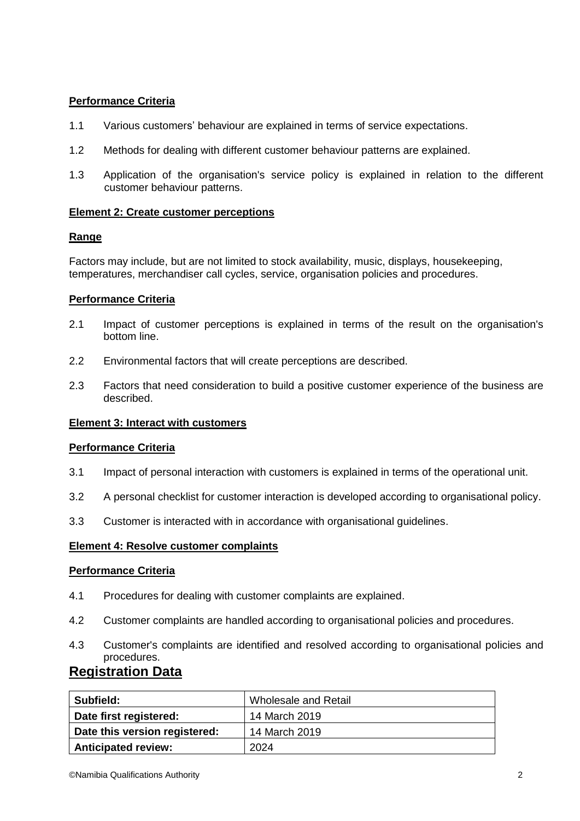## **Performance Criteria**

- 1.1 Various customers' behaviour are explained in terms of service expectations.
- 1.2 Methods for dealing with different customer behaviour patterns are explained.
- 1.3 Application of the organisation's service policy is explained in relation to the different customer behaviour patterns.

#### **Element 2: Create customer perceptions**

#### **Range**

Factors may include, but are not limited to stock availability, music, displays, housekeeping, temperatures, merchandiser call cycles, service, organisation policies and procedures.

## **Performance Criteria**

- 2.1 Impact of customer perceptions is explained in terms of the result on the organisation's bottom line.
- 2.2 Environmental factors that will create perceptions are described.
- 2.3 Factors that need consideration to build a positive customer experience of the business are described.

#### **Element 3: Interact with customers**

#### **Performance Criteria**

- 3.1 Impact of personal interaction with customers is explained in terms of the operational unit.
- 3.2 A personal checklist for customer interaction is developed according to organisational policy.
- 3.3 Customer is interacted with in accordance with organisational guidelines.

#### **Element 4: Resolve customer complaints**

#### **Performance Criteria**

- 4.1 Procedures for dealing with customer complaints are explained.
- 4.2 Customer complaints are handled according to organisational policies and procedures.
- 4.3 Customer's complaints are identified and resolved according to organisational policies and procedures.

## **Registration Data**

| Subfield:                     | Wholesale and Retail |
|-------------------------------|----------------------|
| Date first registered:        | 14 March 2019        |
| Date this version registered: | 14 March 2019        |
| <b>Anticipated review:</b>    | 2024                 |